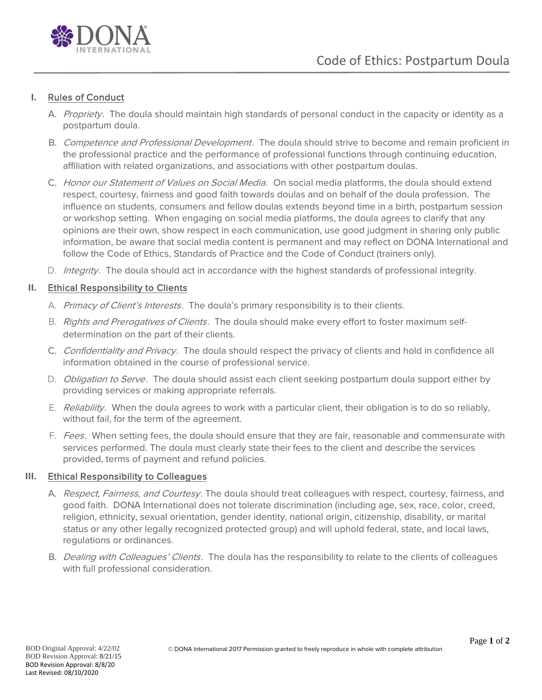

# **I.** Rules of Conduct

- A. Propriety. The doula should maintain high standards of personal conduct in the capacity or identity as a postpartum doula.
- B. Competence and Professional Development. The doula should strive to become and remain proficient in the professional practice and the performance of professional functions through continuing education, affiliation with related organizations, and associations with other postpartum doulas.
- C. Honor our Statement of Values on Social Media. On social media platforms, the doula should extend respect, courtesy, fairness and good faith towards doulas and on behalf of the doula profession. The influence on students, consumers and fellow doulas extends beyond time in a birth, postpartum session or workshop setting. When engaging on social media platforms, the doula agrees to clarify that any opinions are their own, show respect in each communication, use good judgment in sharing only public information, be aware that social media content is permanent and may reflect on DONA International and follow the Code of Ethics, Standards of Practice and the Code of Conduct (trainers only).
- D. *Integrity*. The doula should act in accordance with the highest standards of professional integrity.

## **II.** Ethical Responsibility to Clients

- A. Primacy of Client's Interests. The doula's primary responsibility is to their clients.
- B. Rights and Prerogatives of Clients. The doula should make every effort to foster maximum selfdetermination on the part of their clients.
- C. Confidentiality and Privacy. The doula should respect the privacy of clients and hold in confidence all information obtained in the course of professional service.
- D. Obligation to Serve. The doula should assist each client seeking postpartum doula support either by providing services or making appropriate referrals.
- E. Reliability. When the doula agrees to work with a particular client, their obligation is to do so reliably, without fail, for the term of the agreement.
- F. Fees. When setting fees, the doula should ensure that they are fair, reasonable and commensurate with services performed. The doula must clearly state their fees to the client and describe the services provided, terms of payment and refund policies.

# **III.** Ethical Responsibility to Colleagues

- A. Respect, Fairness, and Courtesy. The doula should treat colleagues with respect, courtesy, fairness, and good faith. DONA International does not tolerate discrimination (including age, sex, race, color, creed, religion, ethnicity, sexual orientation, gender identity, national origin, citizenship, disability, or marital status or any other legally recognized protected group) and will uphold federal, state, and local laws, regulations or ordinances.
- B. Dealing with Colleagues' Clients. The doula has the responsibility to relate to the clients of colleagues with full professional consideration.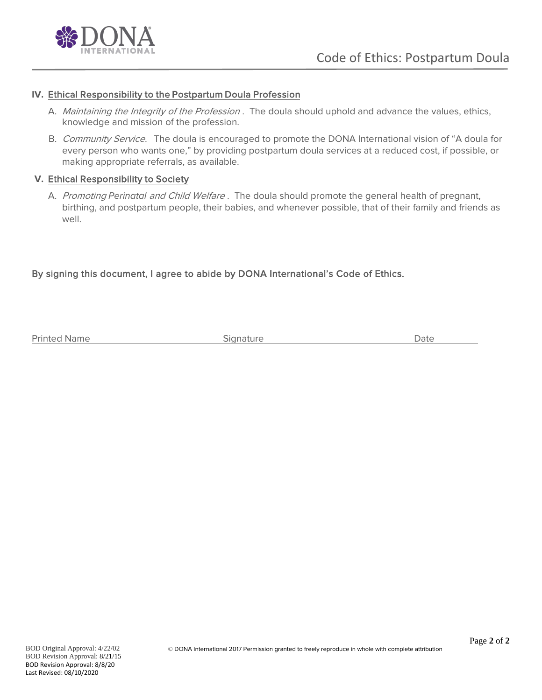

#### **IV.** Ethical Responsibility to the Postpartum Doula Profession

- A. Maintaining the Integrity of the Profession. The doula should uphold and advance the values, ethics, knowledge and mission of the profession.
- B. Community Service. The doula is encouraged to promote the DONA International vision of "A doula for every person who wants one," by providing postpartum doula services at a reduced cost, if possible, or making appropriate referrals, as available.

#### **V.** Ethical Responsibility to Society

A. Promoting Perinatal and Child Welfare. The doula should promote the general health of pregnant, birthing, and postpartum people, their babies, and whenever possible, that of their family and friends as well.

## By signing this document, I agree to abide by DONA International's Code of Ethics.

Printed Name **Signature** Signature **Signature Signature Signature Signature Signature Signature Signature Signature Signature Signature Signature Signature Signature Signature Signature Signat**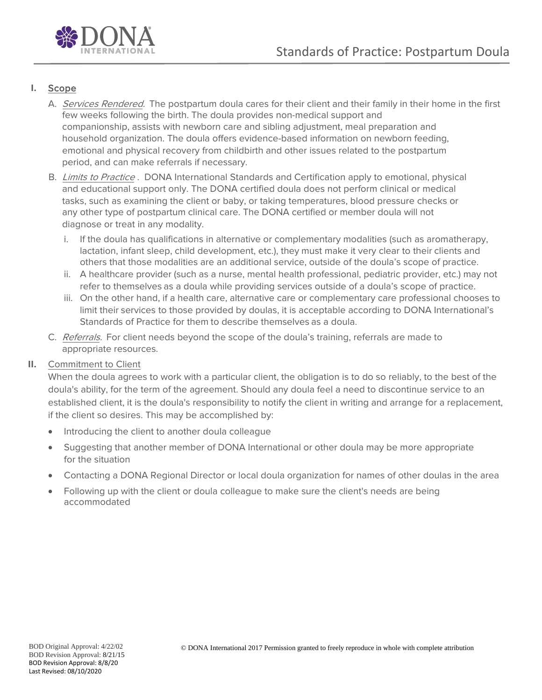

# **I.** Scope

- A. Services Rendered. The postpartum doula cares for their client and their family in their home in the first few weeks following the birth. The doula provides non-medical support and companionship, assists with newborn care and sibling adjustment, meal preparation and household organization. The doula offers evidence-based information on newborn feeding, emotional and physical recovery from childbirth and other issues related to the postpartum period, and can make referrals if necessary.
- B. *Limits to Practice* . DONA International Standards and Certification apply to emotional, physical and educational support only. The DONA certified doula does not perform clinical or medical tasks, such as examining the client or baby, or taking temperatures, blood pressure checks or any other type of postpartum clinical care. The DONA certified or member doula will not diagnose or treat in any modality.
	- i. If the doula has qualifications in alternative or complementary modalities (such as aromatherapy, lactation, infant sleep, child development, etc.), they must make it very clear to their clients and others that those modalities are an additional service, outside of the doula's scope of practice.
	- ii. A healthcare provider (such as a nurse, mental health professional, pediatric provider, etc.) may not refer to themselves as a doula while providing services outside of a doula's scope of practice.
	- iii. On the other hand, if a health care, alternative care or complementary care professional chooses to limit their services to those provided by doulas, it is acceptable according to DONA International's Standards of Practice for them to describe themselves as a doula.
- C. Referrals. For client needs beyond the scope of the doula's training, referrals are made to appropriate resources.

# **II.** Commitment to Client

When the doula agrees to work with a particular client, the obligation is to do so reliably, to the best of the doula's ability, for the term of the agreement. Should any doula feel a need to discontinue service to an established client, it is the doula's responsibility to notify the client in writing and arrange for a replacement, if the client so desires. This may be accomplished by:

- Introducing the client to another doula colleague
- Suggesting that another member of DONA International or other doula may be more appropriate for the situation
- Contacting a DONA Regional Director or local doula organization for names of other doulas in the area
- Following up with the client or doula colleague to make sure the client's needs are being accommodated